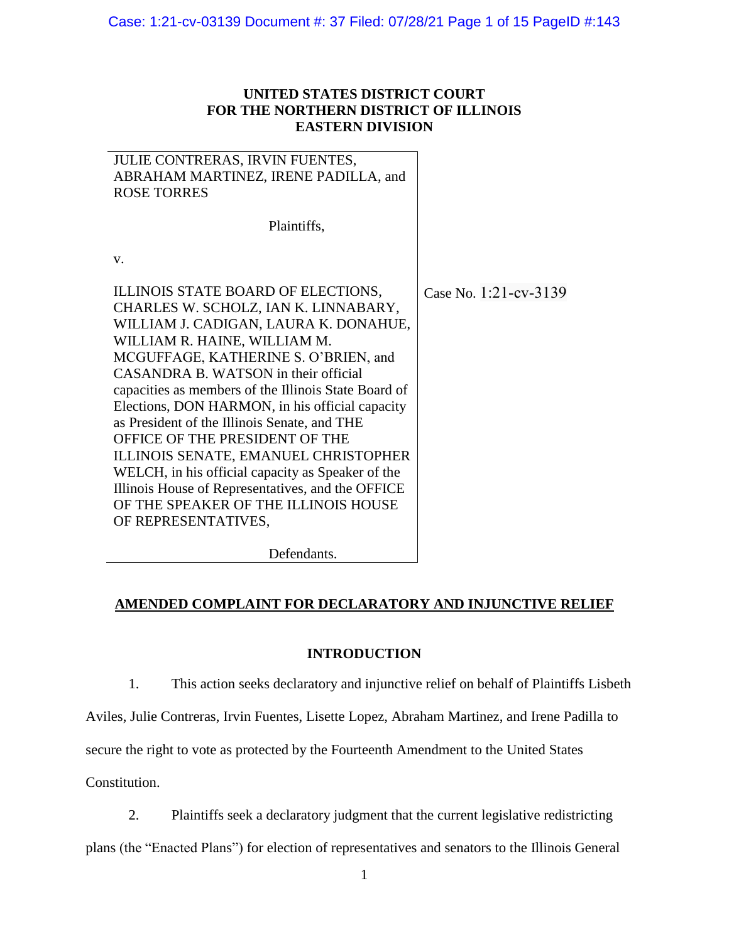# **UNITED STATES DISTRICT COURT FOR THE NORTHERN DISTRICT OF ILLINOIS EASTERN DIVISION**

| JULIE CONTRERAS, IRVIN FUENTES,<br>ABRAHAM MARTINEZ, IRENE PADILLA, and<br><b>ROSE TORRES</b>                                                                                                                                                                                                                                                                                                                                                                                                                                                                                                                                                     |                       |
|---------------------------------------------------------------------------------------------------------------------------------------------------------------------------------------------------------------------------------------------------------------------------------------------------------------------------------------------------------------------------------------------------------------------------------------------------------------------------------------------------------------------------------------------------------------------------------------------------------------------------------------------------|-----------------------|
| Plaintiffs,                                                                                                                                                                                                                                                                                                                                                                                                                                                                                                                                                                                                                                       |                       |
| V.                                                                                                                                                                                                                                                                                                                                                                                                                                                                                                                                                                                                                                                |                       |
| ILLINOIS STATE BOARD OF ELECTIONS,<br>CHARLES W. SCHOLZ, IAN K. LINNABARY,<br>WILLIAM J. CADIGAN, LAURA K. DONAHUE,<br>WILLIAM R. HAINE, WILLIAM M.<br>MCGUFFAGE, KATHERINE S. O'BRIEN, and<br>CASANDRA B. WATSON in their official<br>capacities as members of the Illinois State Board of<br>Elections, DON HARMON, in his official capacity<br>as President of the Illinois Senate, and THE<br>OFFICE OF THE PRESIDENT OF THE<br>ILLINOIS SENATE, EMANUEL CHRISTOPHER<br>WELCH, in his official capacity as Speaker of the<br>Illinois House of Representatives, and the OFFICE<br>OF THE SPEAKER OF THE ILLINOIS HOUSE<br>OF REPRESENTATIVES, | Case No. 1:21-cv-3139 |

Defendants.

# **AMENDED COMPLAINT FOR DECLARATORY AND INJUNCTIVE RELIEF**

# **INTRODUCTION**

1. This action seeks declaratory and injunctive relief on behalf of Plaintiffs Lisbeth

Aviles, Julie Contreras, Irvin Fuentes, Lisette Lopez, Abraham Martinez, and Irene Padilla to

secure the right to vote as protected by the Fourteenth Amendment to the United States

Constitution.

2. Plaintiffs seek a declaratory judgment that the current legislative redistricting

plans (the "Enacted Plans") for election of representatives and senators to the Illinois General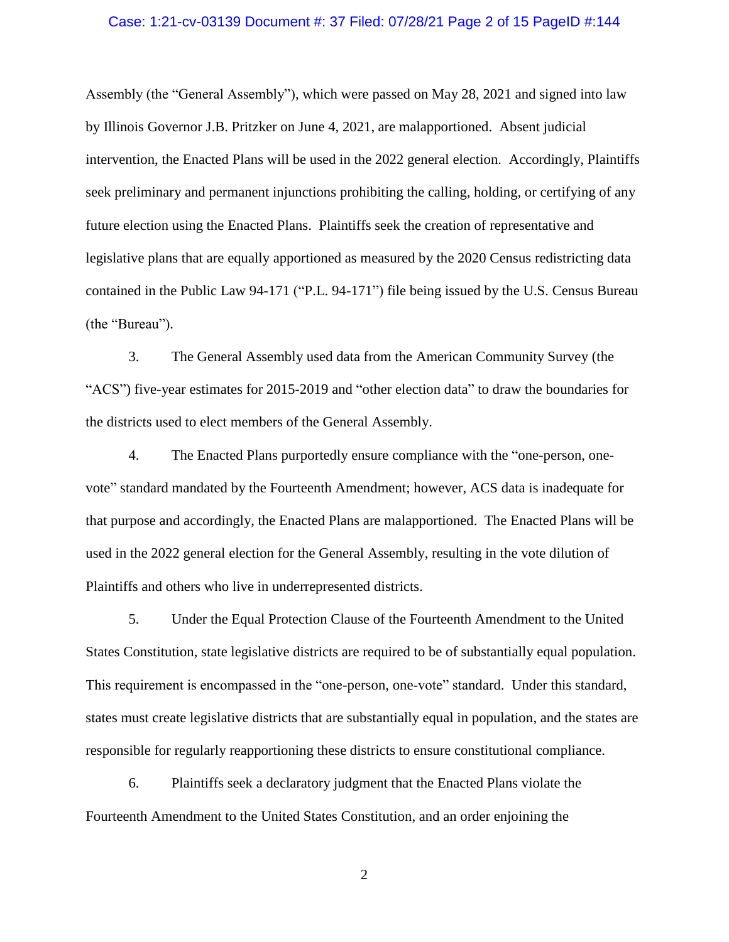## Case: 1:21-cv-03139 Document #: 37 Filed: 07/28/21 Page 2 of 15 PageID #:144

Assembly (the "General Assembly"), which were passed on May 28, 2021 and signed into law by Illinois Governor J.B. Pritzker on June 4, 2021, are malapportioned. Absent judicial intervention, the Enacted Plans will be used in the 2022 general election. Accordingly, Plaintiffs seek preliminary and permanent injunctions prohibiting the calling, holding, or certifying of any future election using the Enacted Plans. Plaintiffs seek the creation of representative and legislative plans that are equally apportioned as measured by the 2020 Census redistricting data contained in the Public Law 94-171 ("P.L. 94-171") file being issued by the U.S. Census Bureau (the "Bureau").

3. The General Assembly used data from the American Community Survey (the "ACS") five-year estimates for 2015-2019 and "other election data" to draw the boundaries for the districts used to elect members of the General Assembly.

4. The Enacted Plans purportedly ensure compliance with the "one-person, onevote" standard mandated by the Fourteenth Amendment; however, ACS data is inadequate for that purpose and accordingly, the Enacted Plans are malapportioned. The Enacted Plans will be used in the 2022 general election for the General Assembly, resulting in the vote dilution of Plaintiffs and others who live in underrepresented districts.

5. Under the Equal Protection Clause of the Fourteenth Amendment to the United States Constitution, state legislative districts are required to be of substantially equal population. This requirement is encompassed in the "one-person, one-vote" standard. Under this standard, states must create legislative districts that are substantially equal in population, and the states are responsible for regularly reapportioning these districts to ensure constitutional compliance.

6. Plaintiffs seek a declaratory judgment that the Enacted Plans violate the Fourteenth Amendment to the United States Constitution, and an order enjoining the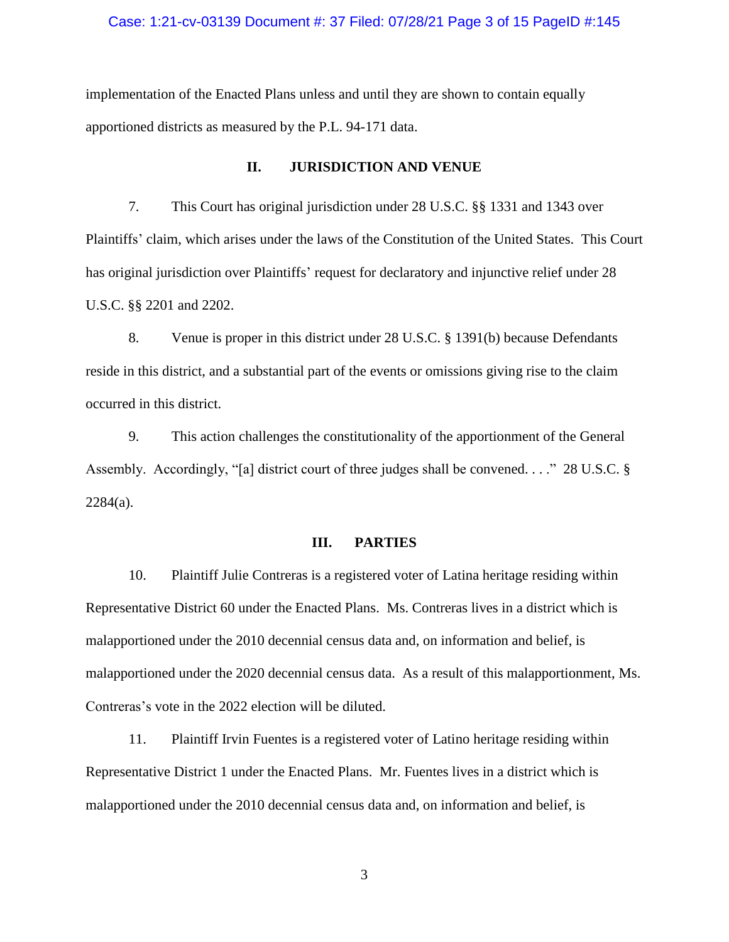## Case: 1:21-cv-03139 Document #: 37 Filed: 07/28/21 Page 3 of 15 PageID #:145

implementation of the Enacted Plans unless and until they are shown to contain equally apportioned districts as measured by the P.L. 94-171 data.

#### **II. JURISDICTION AND VENUE**

7. This Court has original jurisdiction under 28 U.S.C. §§ 1331 and 1343 over Plaintiffs' claim, which arises under the laws of the Constitution of the United States. This Court has original jurisdiction over Plaintiffs' request for declaratory and injunctive relief under 28 U.S.C. §§ 2201 and 2202.

8. Venue is proper in this district under 28 U.S.C. § 1391(b) because Defendants reside in this district, and a substantial part of the events or omissions giving rise to the claim occurred in this district.

9. This action challenges the constitutionality of the apportionment of the General Assembly. Accordingly, "[a] district court of three judges shall be convened. . . ." 28 U.S.C. §  $2284(a)$ .

## **III. PARTIES**

10. Plaintiff Julie Contreras is a registered voter of Latina heritage residing within Representative District 60 under the Enacted Plans. Ms. Contreras lives in a district which is malapportioned under the 2010 decennial census data and, on information and belief, is malapportioned under the 2020 decennial census data. As a result of this malapportionment, Ms. Contreras's vote in the 2022 election will be diluted.

11. Plaintiff Irvin Fuentes is a registered voter of Latino heritage residing within Representative District 1 under the Enacted Plans. Mr. Fuentes lives in a district which is malapportioned under the 2010 decennial census data and, on information and belief, is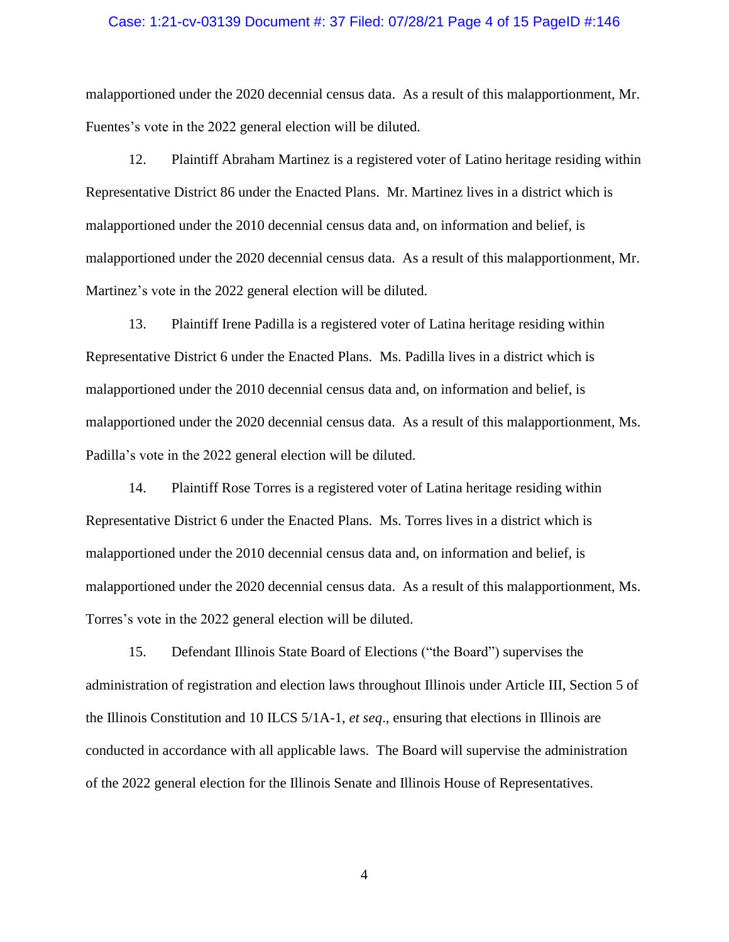## Case: 1:21-cv-03139 Document #: 37 Filed: 07/28/21 Page 4 of 15 PageID #:146

malapportioned under the 2020 decennial census data. As a result of this malapportionment, Mr. Fuentes's vote in the 2022 general election will be diluted.

12. Plaintiff Abraham Martinez is a registered voter of Latino heritage residing within Representative District 86 under the Enacted Plans. Mr. Martinez lives in a district which is malapportioned under the 2010 decennial census data and, on information and belief, is malapportioned under the 2020 decennial census data. As a result of this malapportionment, Mr. Martinez's vote in the 2022 general election will be diluted.

13. Plaintiff Irene Padilla is a registered voter of Latina heritage residing within Representative District 6 under the Enacted Plans. Ms. Padilla lives in a district which is malapportioned under the 2010 decennial census data and, on information and belief, is malapportioned under the 2020 decennial census data. As a result of this malapportionment, Ms. Padilla's vote in the 2022 general election will be diluted.

14. Plaintiff Rose Torres is a registered voter of Latina heritage residing within Representative District 6 under the Enacted Plans. Ms. Torres lives in a district which is malapportioned under the 2010 decennial census data and, on information and belief, is malapportioned under the 2020 decennial census data. As a result of this malapportionment, Ms. Torres's vote in the 2022 general election will be diluted.

15. Defendant Illinois State Board of Elections ("the Board") supervises the administration of registration and election laws throughout Illinois under Article III, Section 5 of the Illinois Constitution and 10 ILCS 5/1A-1, *et seq*., ensuring that elections in Illinois are conducted in accordance with all applicable laws. The Board will supervise the administration of the 2022 general election for the Illinois Senate and Illinois House of Representatives.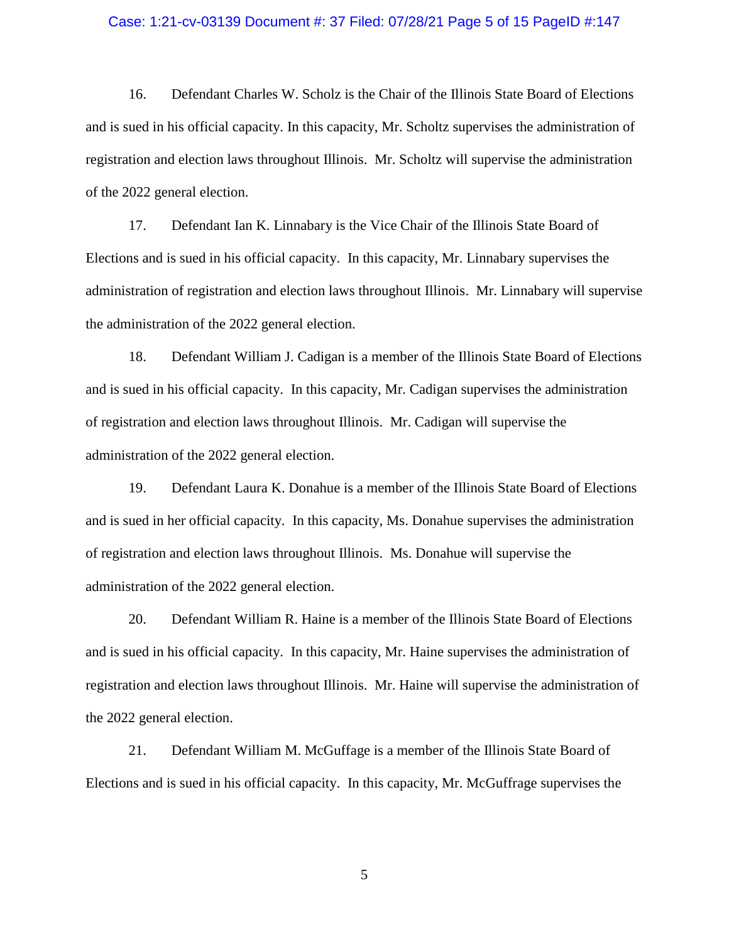#### Case: 1:21-cv-03139 Document #: 37 Filed: 07/28/21 Page 5 of 15 PageID #:147

16. Defendant Charles W. Scholz is the Chair of the Illinois State Board of Elections and is sued in his official capacity. In this capacity, Mr. Scholtz supervises the administration of registration and election laws throughout Illinois. Mr. Scholtz will supervise the administration of the 2022 general election.

17. Defendant Ian K. Linnabary is the Vice Chair of the Illinois State Board of Elections and is sued in his official capacity. In this capacity, Mr. Linnabary supervises the administration of registration and election laws throughout Illinois. Mr. Linnabary will supervise the administration of the 2022 general election.

18. Defendant William J. Cadigan is a member of the Illinois State Board of Elections and is sued in his official capacity. In this capacity, Mr. Cadigan supervises the administration of registration and election laws throughout Illinois. Mr. Cadigan will supervise the administration of the 2022 general election.

19. Defendant Laura K. Donahue is a member of the Illinois State Board of Elections and is sued in her official capacity. In this capacity, Ms. Donahue supervises the administration of registration and election laws throughout Illinois. Ms. Donahue will supervise the administration of the 2022 general election.

20. Defendant William R. Haine is a member of the Illinois State Board of Elections and is sued in his official capacity. In this capacity, Mr. Haine supervises the administration of registration and election laws throughout Illinois. Mr. Haine will supervise the administration of the 2022 general election.

21. Defendant William M. McGuffage is a member of the Illinois State Board of Elections and is sued in his official capacity. In this capacity, Mr. McGuffrage supervises the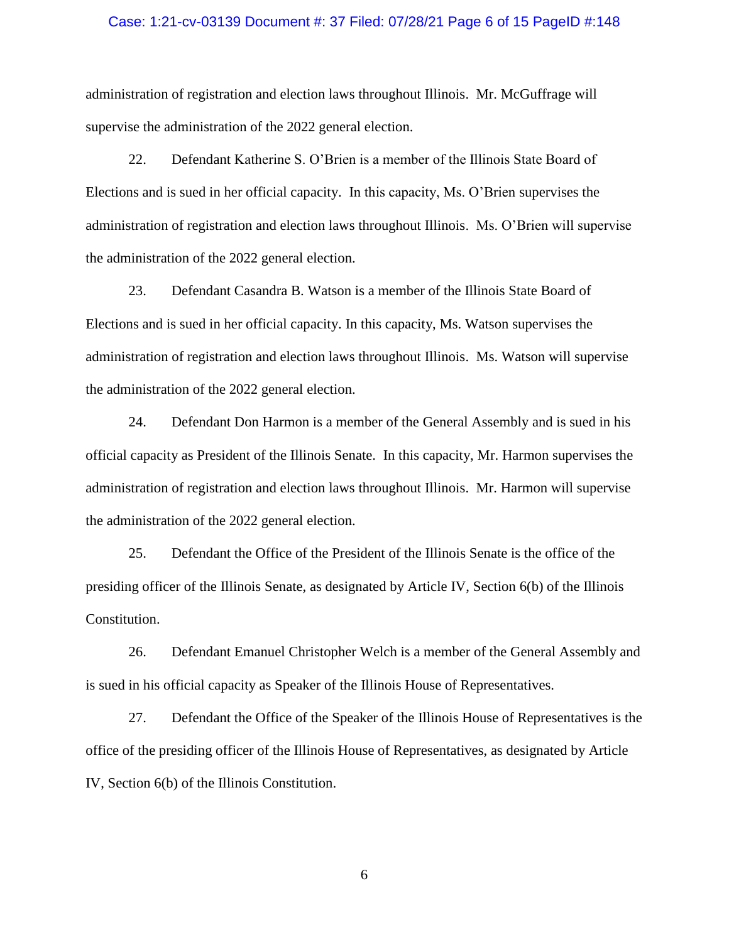### Case: 1:21-cv-03139 Document #: 37 Filed: 07/28/21 Page 6 of 15 PageID #:148

administration of registration and election laws throughout Illinois. Mr. McGuffrage will supervise the administration of the 2022 general election.

22. Defendant Katherine S. O'Brien is a member of the Illinois State Board of Elections and is sued in her official capacity. In this capacity, Ms. O'Brien supervises the administration of registration and election laws throughout Illinois. Ms. O'Brien will supervise the administration of the 2022 general election.

23. Defendant Casandra B. Watson is a member of the Illinois State Board of Elections and is sued in her official capacity. In this capacity, Ms. Watson supervises the administration of registration and election laws throughout Illinois. Ms. Watson will supervise the administration of the 2022 general election.

24. Defendant Don Harmon is a member of the General Assembly and is sued in his official capacity as President of the Illinois Senate. In this capacity, Mr. Harmon supervises the administration of registration and election laws throughout Illinois. Mr. Harmon will supervise the administration of the 2022 general election.

25. Defendant the Office of the President of the Illinois Senate is the office of the presiding officer of the Illinois Senate, as designated by Article IV, Section 6(b) of the Illinois Constitution.

26. Defendant Emanuel Christopher Welch is a member of the General Assembly and is sued in his official capacity as Speaker of the Illinois House of Representatives.

27. Defendant the Office of the Speaker of the Illinois House of Representatives is the office of the presiding officer of the Illinois House of Representatives, as designated by Article IV, Section 6(b) of the Illinois Constitution.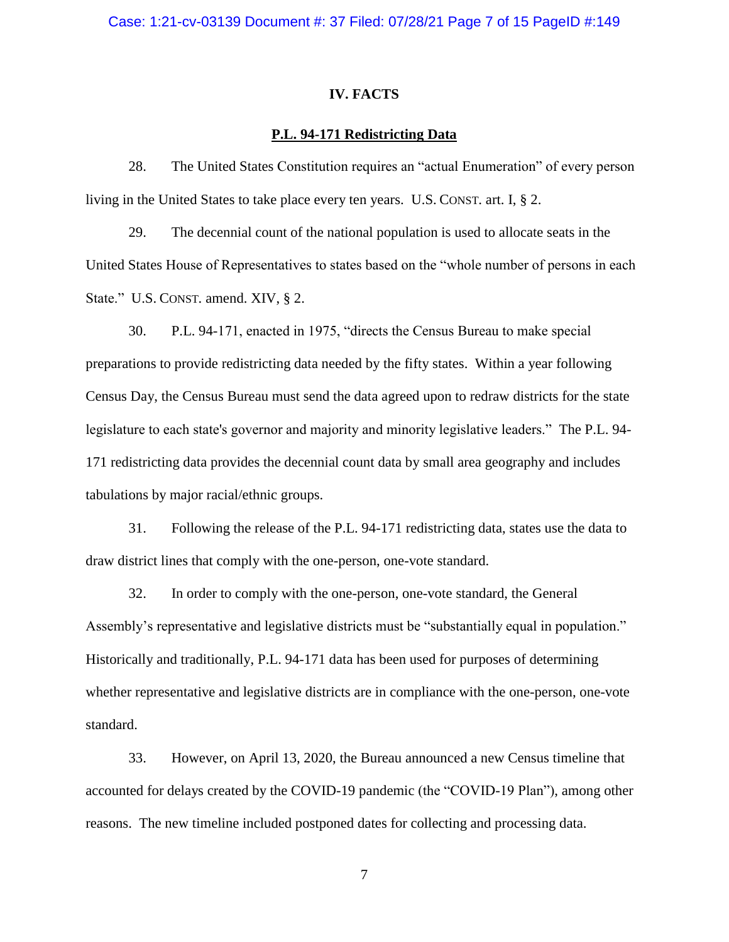#### **IV. FACTS**

## **P.L. 94-171 Redistricting Data**

28. The United States Constitution requires an "actual Enumeration" of every person living in the United States to take place every ten years. U.S. CONST. art. I, § 2.

29. The decennial count of the national population is used to allocate seats in the United States House of Representatives to states based on the "whole number of persons in each State." U.S. CONST. amend. XIV, § 2.

30. P.L. 94-171, enacted in 1975, "directs the Census Bureau to make special preparations to provide redistricting data needed by the fifty states. Within a year following Census Day, the Census Bureau must send the data agreed upon to redraw districts for the state legislature to each state's governor and majority and minority legislative leaders." The P.L. 94- 171 redistricting data provides the decennial count data by small area geography and includes tabulations by major racial/ethnic groups.

31. Following the release of the P.L. 94-171 redistricting data, states use the data to draw district lines that comply with the one-person, one-vote standard.

32. In order to comply with the one-person, one-vote standard, the General Assembly's representative and legislative districts must be "substantially equal in population." Historically and traditionally, P.L. 94-171 data has been used for purposes of determining whether representative and legislative districts are in compliance with the one-person, one-vote standard.

33. However, on April 13, 2020, the Bureau announced a new Census timeline that accounted for delays created by the COVID-19 pandemic (the "COVID-19 Plan"), among other reasons. The new timeline included postponed dates for collecting and processing data.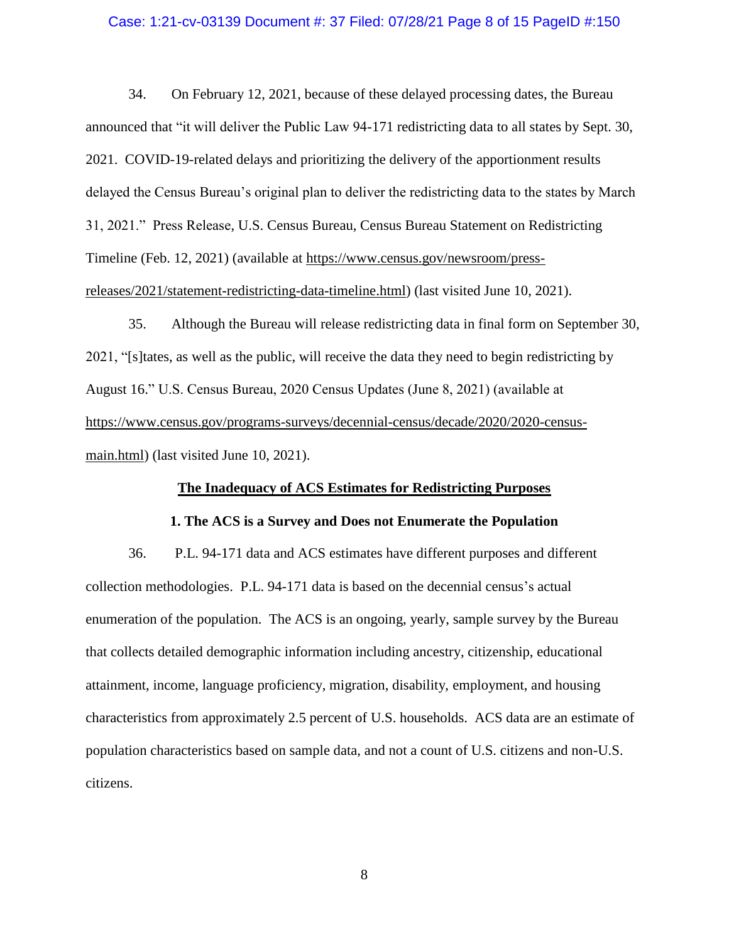#### Case: 1:21-cv-03139 Document #: 37 Filed: 07/28/21 Page 8 of 15 PageID #:150

34. On February 12, 2021, because of these delayed processing dates, the Bureau announced that "it will deliver the Public Law 94-171 redistricting data to all states by Sept. 30, 2021. COVID-19-related delays and prioritizing the delivery of the apportionment results delayed the Census Bureau's original plan to deliver the redistricting data to the states by March 31, 2021." Press Release, U.S. Census Bureau, Census Bureau Statement on Redistricting Timeline (Feb. 12, 2021) (available at [https://www.census.gov/newsroom/press](https://www.census.gov/newsroom/press-releases/2021/statement-redistricting-data-timeline.html)[releases/2021/statement-redistricting-data-timeline.html\)](https://www.census.gov/newsroom/press-releases/2021/statement-redistricting-data-timeline.html) (last visited June 10, 2021).

35. Although the Bureau will release redistricting data in final form on September 30, 2021, "[s]tates, as well as the public, will receive the data they need to begin redistricting by August 16." U.S. Census Bureau, 2020 Census Updates (June 8, 2021) (available at [https://www.census.gov/programs-surveys/decennial-census/decade/2020/2020-census](https://www.census.gov/programs-surveys/decennial-census/decade/2020/2020-census-main.html)[main.html\)](https://www.census.gov/programs-surveys/decennial-census/decade/2020/2020-census-main.html) (last visited June 10, 2021).

## **The Inadequacy of ACS Estimates for Redistricting Purposes**

#### **1. The ACS is a Survey and Does not Enumerate the Population**

36. P.L. 94-171 data and ACS estimates have different purposes and different collection methodologies. P.L. 94-171 data is based on the decennial census's actual enumeration of the population. The ACS is an ongoing, yearly, sample survey by the Bureau that collects detailed demographic information including ancestry, citizenship, educational attainment, income, language proficiency, migration, disability, employment, and housing characteristics from approximately 2.5 percent of U.S. households. ACS data are an estimate of population characteristics based on sample data, and not a count of U.S. citizens and non-U.S. citizens.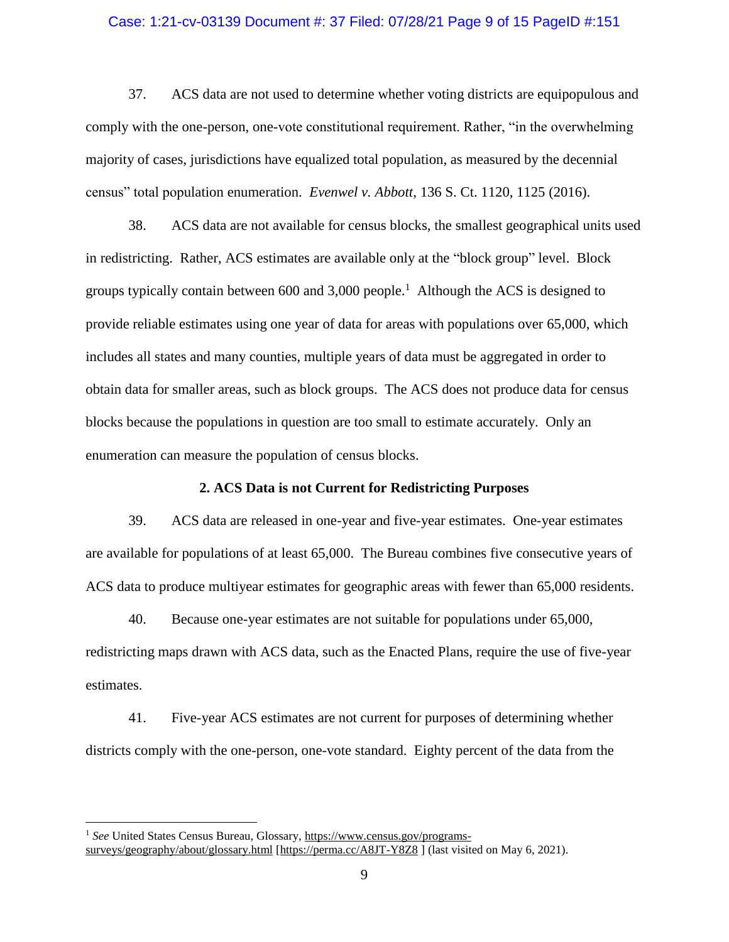#### Case: 1:21-cv-03139 Document #: 37 Filed: 07/28/21 Page 9 of 15 PageID #:151

37. ACS data are not used to determine whether voting districts are equipopulous and comply with the one-person, one-vote constitutional requirement. Rather, "in the overwhelming majority of cases, jurisdictions have equalized total population, as measured by the decennial census" total population enumeration. *Evenwel v. Abbott*, 136 S. Ct. 1120, 1125 (2016).

38. ACS data are not available for census blocks, the smallest geographical units used in redistricting. Rather, ACS estimates are available only at the "block group" level. Block groups typically contain between  $600$  and  $3,000$  people.<sup>1</sup> Although the ACS is designed to provide reliable estimates using one year of data for areas with populations over 65,000, which includes all states and many counties, multiple years of data must be aggregated in order to obtain data for smaller areas, such as block groups. The ACS does not produce data for census blocks because the populations in question are too small to estimate accurately. Only an enumeration can measure the population of census blocks.

#### **2. ACS Data is not Current for Redistricting Purposes**

39. ACS data are released in one-year and five-year estimates. One-year estimates are available for populations of at least 65,000. The Bureau combines five consecutive years of ACS data to produce multiyear estimates for geographic areas with fewer than 65,000 residents.

40. Because one-year estimates are not suitable for populations under 65,000, redistricting maps drawn with ACS data, such as the Enacted Plans, require the use of five-year estimates.

41. Five-year ACS estimates are not current for purposes of determining whether districts comply with the one-person, one-vote standard. Eighty percent of the data from the

 $\overline{a}$ 

<sup>&</sup>lt;sup>1</sup> See United States Census Bureau, Glossary, [https://www.census.gov/programs](https://www.census.gov/programs-surveys/geography/about/glossary.html)[surveys/geography/about/glossary.html](https://www.census.gov/programs-surveys/geography/about/glossary.html) [\[https://perma.cc/A8JT-Y8Z8](https://perma.cc/A8JT-Y8Z8) ] (last visited on May 6, 2021).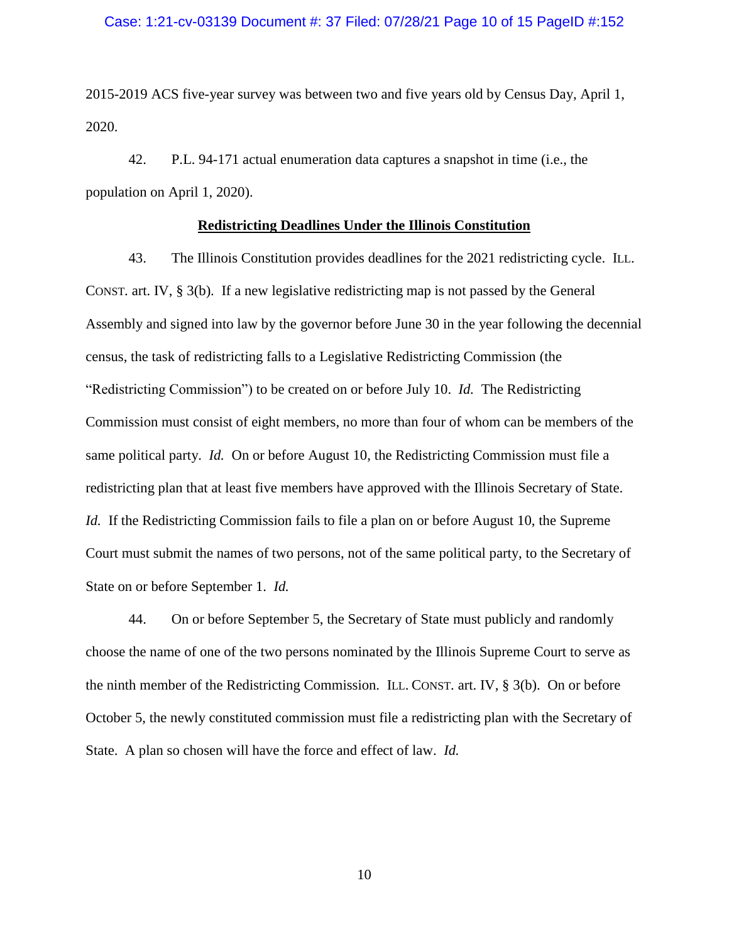## Case: 1:21-cv-03139 Document #: 37 Filed: 07/28/21 Page 10 of 15 PageID #:152

2015-2019 ACS five-year survey was between two and five years old by Census Day, April 1, 2020.

42. P.L. 94-171 actual enumeration data captures a snapshot in time (i.e., the population on April 1, 2020).

## **Redistricting Deadlines Under the Illinois Constitution**

43. The Illinois Constitution provides deadlines for the 2021 redistricting cycle. ILL. CONST. art. IV, § 3(b). If a new legislative redistricting map is not passed by the General Assembly and signed into law by the governor before June 30 in the year following the decennial census, the task of redistricting falls to a Legislative Redistricting Commission (the "Redistricting Commission") to be created on or before July 10. *Id.* The Redistricting Commission must consist of eight members, no more than four of whom can be members of the same political party. *Id.* On or before August 10, the Redistricting Commission must file a redistricting plan that at least five members have approved with the Illinois Secretary of State. *Id.* If the Redistricting Commission fails to file a plan on or before August 10, the Supreme Court must submit the names of two persons, not of the same political party, to the Secretary of State on or before September 1. *Id.*

44. On or before September 5, the Secretary of State must publicly and randomly choose the name of one of the two persons nominated by the Illinois Supreme Court to serve as the ninth member of the Redistricting Commission. ILL. CONST. art. IV, § 3(b). On or before October 5, the newly constituted commission must file a redistricting plan with the Secretary of State. A plan so chosen will have the force and effect of law. *Id.*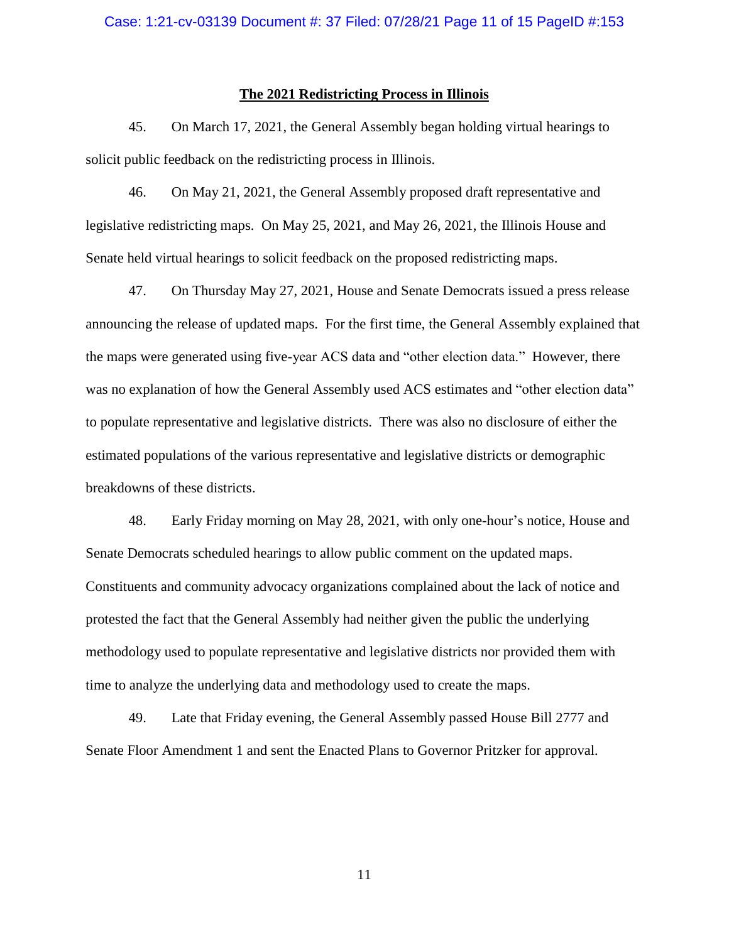## **The 2021 Redistricting Process in Illinois**

45. On March 17, 2021, the General Assembly began holding virtual hearings to solicit public feedback on the redistricting process in Illinois.

46. On May 21, 2021, the General Assembly proposed draft representative and legislative redistricting maps. On May 25, 2021, and May 26, 2021, the Illinois House and Senate held virtual hearings to solicit feedback on the proposed redistricting maps.

47. On Thursday May 27, 2021, House and Senate Democrats issued a press release announcing the release of updated maps. For the first time, the General Assembly explained that the maps were generated using five-year ACS data and "other election data." However, there was no explanation of how the General Assembly used ACS estimates and "other election data" to populate representative and legislative districts. There was also no disclosure of either the estimated populations of the various representative and legislative districts or demographic breakdowns of these districts.

48. Early Friday morning on May 28, 2021, with only one-hour's notice, House and Senate Democrats scheduled hearings to allow public comment on the updated maps. Constituents and community advocacy organizations complained about the lack of notice and protested the fact that the General Assembly had neither given the public the underlying methodology used to populate representative and legislative districts nor provided them with time to analyze the underlying data and methodology used to create the maps.

49. Late that Friday evening, the General Assembly passed House Bill 2777 and Senate Floor Amendment 1 and sent the Enacted Plans to Governor Pritzker for approval.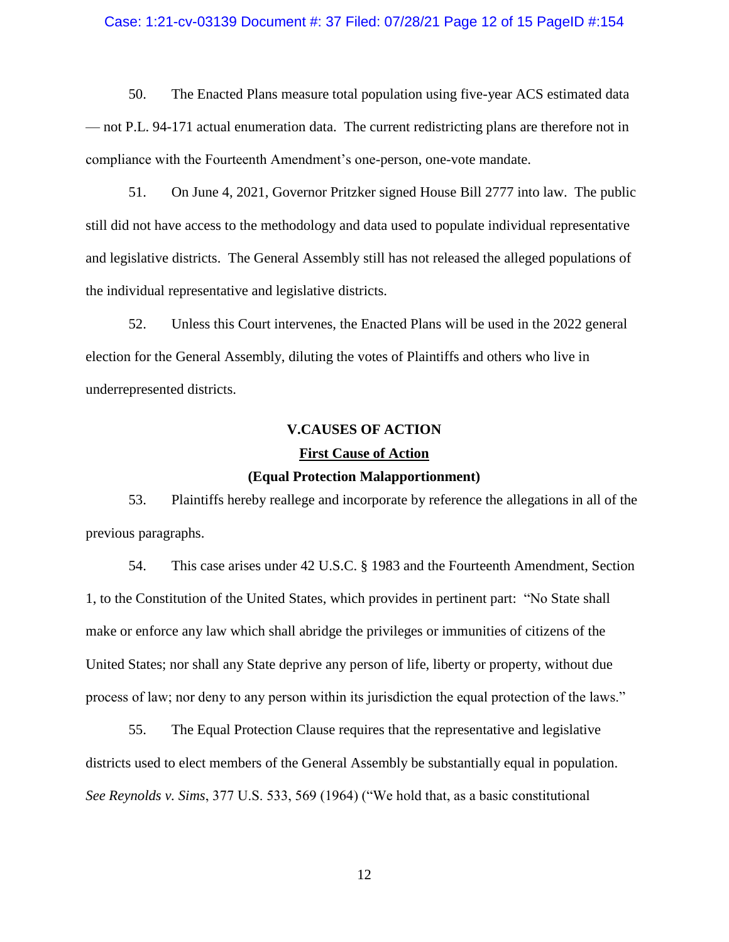#### Case: 1:21-cv-03139 Document #: 37 Filed: 07/28/21 Page 12 of 15 PageID #:154

50. The Enacted Plans measure total population using five-year ACS estimated data — not P.L. 94-171 actual enumeration data. The current redistricting plans are therefore not in compliance with the Fourteenth Amendment's one-person, one-vote mandate.

51. On June 4, 2021, Governor Pritzker signed House Bill 2777 into law. The public still did not have access to the methodology and data used to populate individual representative and legislative districts. The General Assembly still has not released the alleged populations of the individual representative and legislative districts.

52. Unless this Court intervenes, the Enacted Plans will be used in the 2022 general election for the General Assembly, diluting the votes of Plaintiffs and others who live in underrepresented districts.

# **V.CAUSES OF ACTION First Cause of Action**

#### **(Equal Protection Malapportionment)**

53. Plaintiffs hereby reallege and incorporate by reference the allegations in all of the previous paragraphs.

54. This case arises under 42 U.S.C. § 1983 and the Fourteenth Amendment, Section 1, to the Constitution of the United States, which provides in pertinent part: "No State shall make or enforce any law which shall abridge the privileges or immunities of citizens of the United States; nor shall any State deprive any person of life, liberty or property, without due process of law; nor deny to any person within its jurisdiction the equal protection of the laws."

55. The Equal Protection Clause requires that the representative and legislative districts used to elect members of the General Assembly be substantially equal in population. *See Reynolds v. Sims*, 377 U.S. 533, 569 (1964) ("We hold that, as a basic constitutional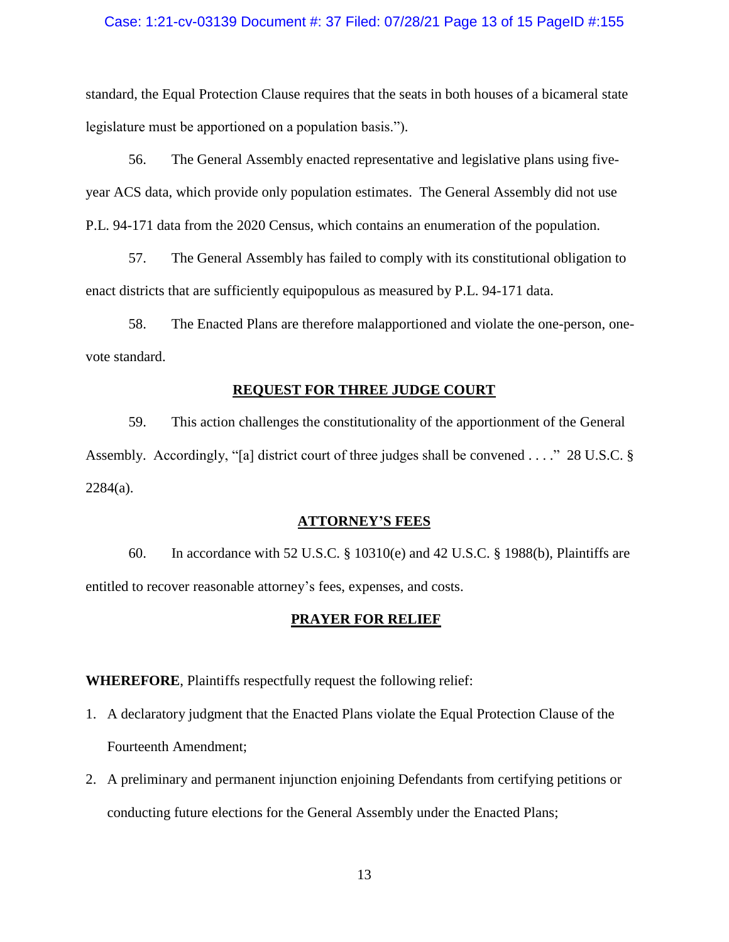## Case: 1:21-cv-03139 Document #: 37 Filed: 07/28/21 Page 13 of 15 PageID #:155

standard, the Equal Protection Clause requires that the seats in both houses of a bicameral state legislature must be apportioned on a population basis.").

56. The General Assembly enacted representative and legislative plans using fiveyear ACS data, which provide only population estimates. The General Assembly did not use P.L. 94-171 data from the 2020 Census, which contains an enumeration of the population.

57. The General Assembly has failed to comply with its constitutional obligation to enact districts that are sufficiently equipopulous as measured by P.L. 94-171 data.

58. The Enacted Plans are therefore malapportioned and violate the one-person, onevote standard.

#### **REQUEST FOR THREE JUDGE COURT**

59. This action challenges the constitutionality of the apportionment of the General Assembly. Accordingly, "[a] district court of three judges shall be convened . . . ." 28 U.S.C. §  $2284(a)$ .

#### **ATTORNEY'S FEES**

60. In accordance with 52 U.S.C. § 10310(e) and 42 U.S.C. § 1988(b), Plaintiffs are entitled to recover reasonable attorney's fees, expenses, and costs.

#### **PRAYER FOR RELIEF**

**WHEREFORE**, Plaintiffs respectfully request the following relief:

- 1. A declaratory judgment that the Enacted Plans violate the Equal Protection Clause of the Fourteenth Amendment;
- 2. A preliminary and permanent injunction enjoining Defendants from certifying petitions or conducting future elections for the General Assembly under the Enacted Plans;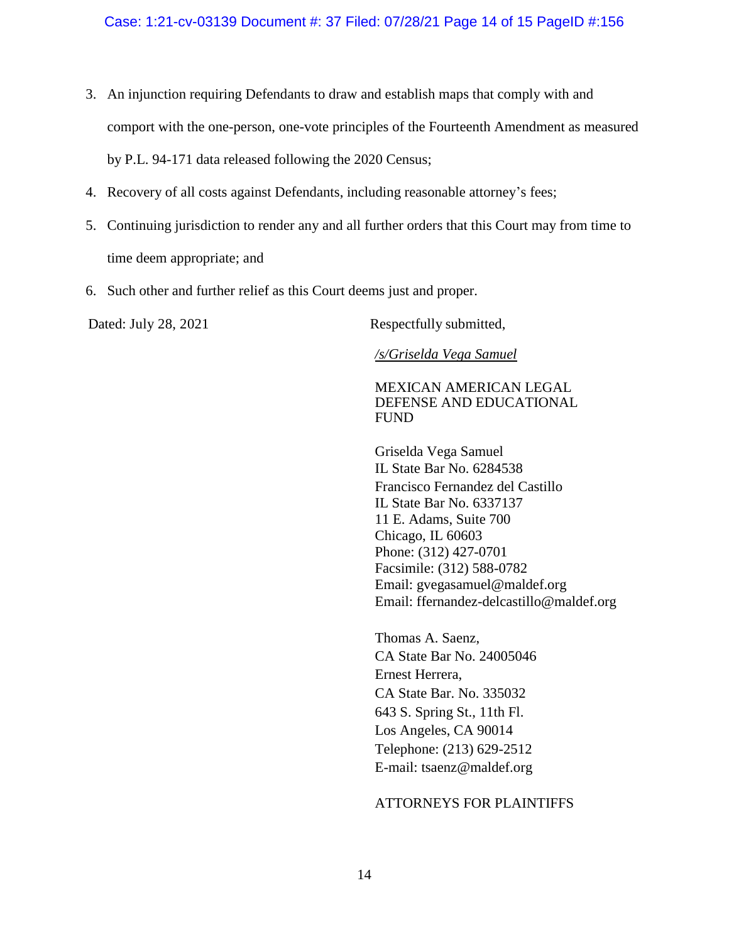- 3. An injunction requiring Defendants to draw and establish maps that comply with and comport with the one-person, one-vote principles of the Fourteenth Amendment as measured by P.L. 94-171 data released following the 2020 Census;
- 4. Recovery of all costs against Defendants, including reasonable attorney's fees;
- 5. Continuing jurisdiction to render any and all further orders that this Court may from time to time deem appropriate; and
- 6. Such other and further relief as this Court deems just and proper.

Dated: July 28, 2021 Respectfully submitted,

*/s/Griselda Vega Samuel*

# MEXICAN AMERICAN LEGAL DEFENSE AND EDUCATIONAL FUND

Griselda Vega Samuel IL State Bar No. 6284538 Francisco Fernandez del Castillo IL State Bar No. 6337137 11 E. Adams, Suite 700 Chicago, IL 60603 Phone: (312) 427-0701 Facsimile: (312) 588-0782 Email: [gvegasamuel@maldef.org](mailto:gvegasamuel@maldef.org) Email: ffernandez-delcastillo@maldef.org

Thomas A. Saenz, CA State Bar No. 24005046 Ernest Herrera, CA State Bar. No. 335032 643 S. Spring St., 11th Fl. Los Angeles, CA 90014 Telephone: (213) 629-2512 E-mail: tsaenz@maldef.org

# ATTORNEYS FOR PLAINTIFFS